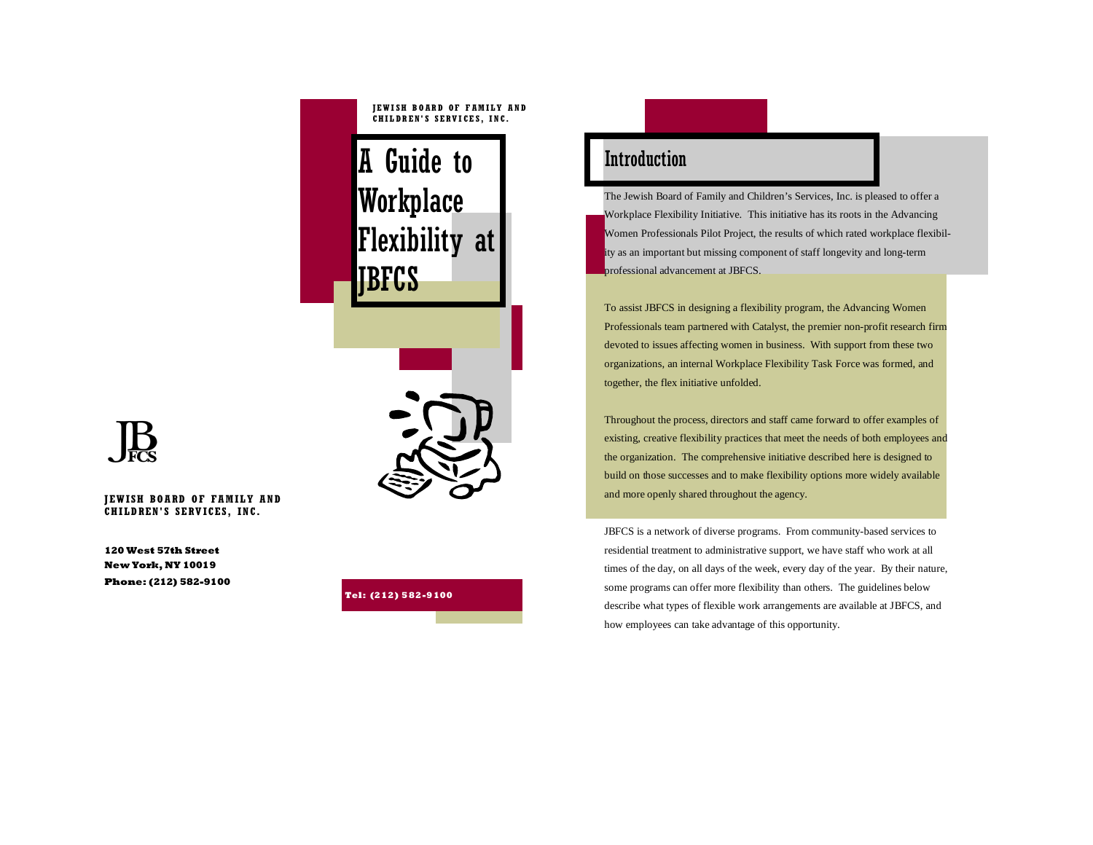### **JEWISH BOARD OF FAMILY AND CHILDREN'S SERVICES, INC.**

A Guide to Introduction Workplace Flexibility at JBFCS



**JEWISH BOARD OF FAMILY AND CHILDREN'S SERVICES, INC.** 

**120 West 57th Street New York, NY 10019 Phone: (212) 582-9100** 



The Jewish Board of Family and Children's Services, Inc. is pleased to offer a Workplace Flexibility Initiative. This initiative has its roots in the Advancing Women Professionals Pilot Project, the results of which rated workplace flexibility as an important but missing component of staff longevity and long-term professional advancement at JBFCS.

To assist JBFCS in designing a flexibility program, the Advancing Women Professionals team partnered with Catalyst, the premier non-profit research firm devoted to issues affecting women in business. With support from these two organizations, an internal Workplace Flexibility Task Force was formed, and together, the flex initiative unfolded.

Throughout the process, directors and staff came forward to offer examples of existing, creative flexibility practices that meet the needs of both employees and the organization. The comprehensive initiative described here is designed to build on those successes and to make flexibility options more widely available and more openly shared throughout the agency.

JBFCS is a network of diverse programs. From community-based services to residential treatment to administrative support, we have staff who work at all times of the day, on all days of the week, every day of the year. By their nature, some programs can offer more flexibility than others. The guidelines below describe what types of flexible work arrangements are available at JBFCS, and how employees can take advantage of this opportunity.